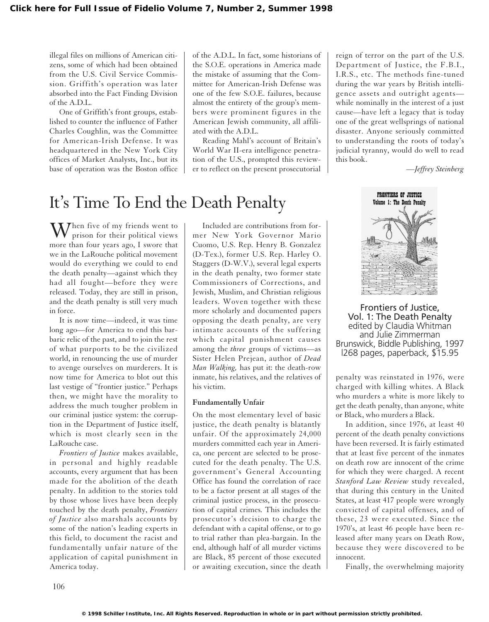illegal files on millions of American citizens, some of which had been obtained from the U.S. Civil Service Commission. Griffith's operation was later absorbed into the Fact Finding Division of the A.D.L.

One of Griffith's front groups, established to counter the influence of Father Charles Coughlin, was the Committee for American-Irish Defense. It was headquartered in the New York City offices of Market Analysts, Inc., but its base of operation was the Boston office

of the A.D.L. In fact, some historians of the S.O.E. operations in America made the mistake of assuming that the Committee for American-Irish Defense was one of the few S.O.E. failures, because almost the entirety of the group's members were prominent figures in the American Jewish community, all affiliated with the A.D.L.

Reading Mahl's account of Britain's World War II-era intelligence penetration of the U.S., prompted this reviewer to reflect on the present prosecutorial

# It's Time To End the Death Penalty

 $\mathbf{W}$  hen five of my friends went to prison for their political views more than four years ago, I swore that we in the LaRouche political movement would do everything we could to end the death penalty—against which they had all fought—before they were released. Today, they are still in prison, and the death penalty is still very much in force.

It is now time—indeed, it was time long ago—for America to end this barbaric relic of the past, and to join the rest of what purports to be the civilized world, in renouncing the use of murder to avenge ourselves on murderers. It is now time for America to blot out this last vestige of "frontier justice." Perhaps then, we might have the morality to address the much tougher problem in our criminal justice system: the corruption in the Department of Justice itself, which is most clearly seen in the LaRouche case.

*Frontiers of Justice* makes available, in personal and highly readable accounts, every argument that has been made for the abolition of the death penalty. In addition to the stories told by those whose lives have been deeply touched by the death penalty, *Frontiers of Justice* also marshals accounts by some of the nation's leading experts in this field, to document the racist and fundamentally unfair nature of the application of capital punishment in America today.

Included are contributions from former New York Governor Mario Cuomo, U.S. Rep. Henry B. Gonzalez (D-Tex.), former U.S. Rep. Harley O. Staggers (D-W.V.), several legal experts in the death penalty, two former state Commissioners of Corrections, and Jewish, Muslim, and Christian religious leaders. Woven together with these more scholarly and documented papers opposing the death penalty, are very intimate accounts of the suffering which capital punishment causes among the *three* groups of victims—as Sister Helen Prejean, author of *Dead Man Walking,* has put it: the death-row inmate, his relatives, and the relatives of his victim.

### **Fundamentally Unfair**

On the most elementary level of basic justice, the death penalty is blatantly unfair. Of the approximately 24,000 murders committed each year in America, one percent are selected to be prosecuted for the death penalty. The U.S. government's General Accounting Office has found the correlation of race to be a factor present at all stages of the criminal justice process, in the prosecution of capital crimes. This includes the prosecutor's decision to charge the defendant with a capital offense, or to go to trial rather than plea-bargain. In the end, although half of all murder victims are Black, 85 percent of those executed or awaiting execution, since the death

reign of terror on the part of the U.S. Department of Justice, the F.B.I., I.R.S., etc. The methods fine-tuned during the war years by British intelligence assets and outright agents while nominally in the interest of a just cause—have left a legacy that is today one of the great wellsprings of national disaster. Anyone seriously committed to understanding the roots of today's judicial tyranny, would do well to read this book.

*—Jeffrey Steinberg*



Frontiers of Justice, Vol. 1: The Death Penalty edited by Claudia Whitman and Julie Zimmerman Brunswick, Biddle Publishing, 1997 l268 pages, paperback, \$15.95

penalty was reinstated in 1976, were charged with killing whites. A Black who murders a white is more likely to get the death penalty, than anyone, white or Black, who murders a Black.

In addition, since 1976, at least 40 percent of the death penalty convictions have been reversed. It is fairly estimated that at least five percent of the inmates on death row are innocent of the crime for which they were charged. A recent *Stanford Law Review* study revealed, that during this century in the United States, at least 417 people were wrongly convicted of capital offenses, and of these, 23 were executed. Since the 1970's, at least 46 people have been released after many years on Death Row, because they were discovered to be innocent.

Finally, the overwhelming majority